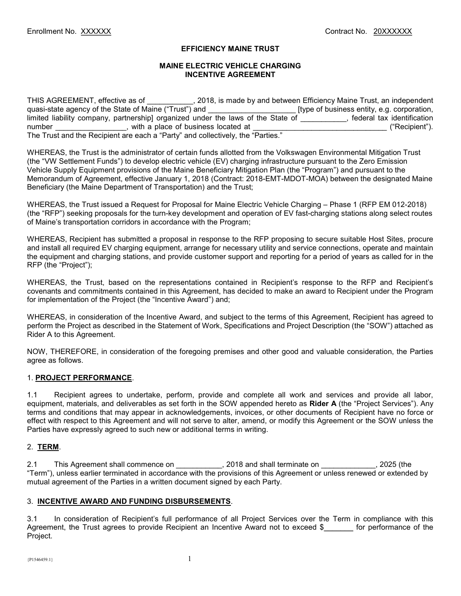# EFFICIENCY MAINE TRUST

## MAINE ELECTRIC VEHICLE CHARGING INCENTIVE AGREEMENT

THIS AGREEMENT, effective as of \_\_\_\_\_\_\_\_\_\_, 2018, is made by and between Efficiency Maine Trust, an independent quasi-state agency of the State of Maine ("Trust") and \_\_\_\_\_\_\_\_\_\_\_\_\_\_\_\_\_\_\_\_\_ [type of business entity, e.g. corporation, limited liability company, partnership] organized under the laws of the State of \_\_\_\_\_\_\_\_, federal tax identification number \_\_\_\_\_\_\_\_\_\_\_, with a place of business located at \_\_\_ number \_\_\_\_\_\_\_\_\_\_\_\_\_\_\_\_\_\_, with a place of business located at The Trust and the Recipient are each a "Party" and collectively, the "Parties."

WHEREAS, the Trust is the administrator of certain funds allotted from the Volkswagen Environmental Mitigation Trust (the "VW Settlement Funds") to develop electric vehicle (EV) charging infrastructure pursuant to the Zero Emission Vehicle Supply Equipment provisions of the Maine Beneficiary Mitigation Plan (the "Program") and pursuant to the Memorandum of Agreement, effective January 1, 2018 (Contract: 2018-EMT-MDOT-MOA) between the designated Maine Beneficiary (the Maine Department of Transportation) and the Trust;

WHEREAS, the Trust issued a Request for Proposal for Maine Electric Vehicle Charging – Phase 1 (RFP EM 012-2018) (the "RFP") seeking proposals for the turn-key development and operation of EV fast-charging stations along select routes of Maine's transportation corridors in accordance with the Program;

WHEREAS, Recipient has submitted a proposal in response to the RFP proposing to secure suitable Host Sites, procure and install all required EV charging equipment, arrange for necessary utility and service connections, operate and maintain the equipment and charging stations, and provide customer support and reporting for a period of years as called for in the RFP (the "Project");

WHEREAS, the Trust, based on the representations contained in Recipient's response to the RFP and Recipient's covenants and commitments contained in this Agreement, has decided to make an award to Recipient under the Program for implementation of the Project (the "Incentive Award") and;

WHEREAS, in consideration of the Incentive Award, and subject to the terms of this Agreement, Recipient has agreed to perform the Project as described in the Statement of Work, Specifications and Project Description (the "SOW") attached as Rider A to this Agreement.

NOW, THEREFORE, in consideration of the foregoing premises and other good and valuable consideration, the Parties agree as follows.

# 1. PROJECT PERFORMANCE.

1.1 Recipient agrees to undertake, perform, provide and complete all work and services and provide all labor, equipment, materials, and deliverables as set forth in the SOW appended hereto as Rider A (the "Project Services"). Any terms and conditions that may appear in acknowledgements, invoices, or other documents of Recipient have no force or effect with respect to this Agreement and will not serve to alter, amend, or modify this Agreement or the SOW unless the Parties have expressly agreed to such new or additional terms in writing.

# 2. TERM.

2.1 This Agreement shall commence on \_\_\_\_\_\_\_\_\_\_\_, 2018 and shall terminate on \_\_\_\_\_\_\_\_\_\_\_\_\_, 2025 (the "Term"), unless earlier terminated in accordance with the provisions of this Agreement or unless renewed or extended by mutual agreement of the Parties in a written document signed by each Party.

### 3. INCENTIVE AWARD AND FUNDING DISBURSEMENTS.

3.1 In consideration of Recipient's full performance of all Project Services over the Term in compliance with this Agreement, the Trust agrees to provide Recipient an Incentive Award not to exceed \$ for performance of the Project.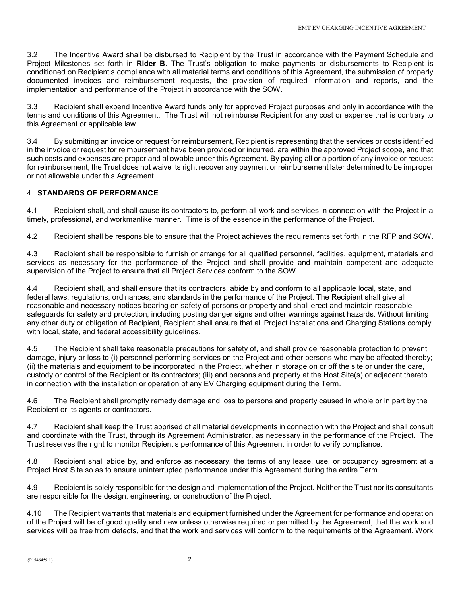3.2 The Incentive Award shall be disbursed to Recipient by the Trust in accordance with the Payment Schedule and Project Milestones set forth in Rider B. The Trust's obligation to make payments or disbursements to Recipient is conditioned on Recipient's compliance with all material terms and conditions of this Agreement, the submission of properly documented invoices and reimbursement requests, the provision of required information and reports, and the implementation and performance of the Project in accordance with the SOW.

3.3 Recipient shall expend Incentive Award funds only for approved Project purposes and only in accordance with the terms and conditions of this Agreement. The Trust will not reimburse Recipient for any cost or expense that is contrary to this Agreement or applicable law.

3.4 By submitting an invoice or request for reimbursement, Recipient is representing that the services or costs identified in the invoice or request for reimbursement have been provided or incurred, are within the approved Project scope, and that such costs and expenses are proper and allowable under this Agreement. By paying all or a portion of any invoice or request for reimbursement, the Trust does not waive its right recover any payment or reimbursement later determined to be improper or not allowable under this Agreement.

# 4. STANDARDS OF PERFORMANCE.

4.1 Recipient shall, and shall cause its contractors to, perform all work and services in connection with the Project in a timely, professional, and workmanlike manner. Time is of the essence in the performance of the Project.

4.2 Recipient shall be responsible to ensure that the Project achieves the requirements set forth in the RFP and SOW.

4.3 Recipient shall be responsible to furnish or arrange for all qualified personnel, facilities, equipment, materials and services as necessary for the performance of the Project and shall provide and maintain competent and adequate supervision of the Project to ensure that all Project Services conform to the SOW.

4.4 Recipient shall, and shall ensure that its contractors, abide by and conform to all applicable local, state, and federal laws, regulations, ordinances, and standards in the performance of the Project. The Recipient shall give all reasonable and necessary notices bearing on safety of persons or property and shall erect and maintain reasonable safeguards for safety and protection, including posting danger signs and other warnings against hazards. Without limiting any other duty or obligation of Recipient, Recipient shall ensure that all Project installations and Charging Stations comply with local, state, and federal accessibility guidelines.

4.5 The Recipient shall take reasonable precautions for safety of, and shall provide reasonable protection to prevent damage, injury or loss to (i) personnel performing services on the Project and other persons who may be affected thereby; (ii) the materials and equipment to be incorporated in the Project, whether in storage on or off the site or under the care, custody or control of the Recipient or its contractors; (iii) and persons and property at the Host Site(s) or adjacent thereto in connection with the installation or operation of any EV Charging equipment during the Term.

4.6 The Recipient shall promptly remedy damage and loss to persons and property caused in whole or in part by the Recipient or its agents or contractors.

4.7 Recipient shall keep the Trust apprised of all material developments in connection with the Project and shall consult and coordinate with the Trust, through its Agreement Administrator, as necessary in the performance of the Project. The Trust reserves the right to monitor Recipient's performance of this Agreement in order to verify compliance.

4.8 Recipient shall abide by, and enforce as necessary, the terms of any lease, use, or occupancy agreement at a Project Host Site so as to ensure uninterrupted performance under this Agreement during the entire Term.

4.9 Recipient is solely responsible for the design and implementation of the Project. Neither the Trust nor its consultants are responsible for the design, engineering, or construction of the Project.

4.10 The Recipient warrants that materials and equipment furnished under the Agreement for performance and operation of the Project will be of good quality and new unless otherwise required or permitted by the Agreement, that the work and services will be free from defects, and that the work and services will conform to the requirements of the Agreement. Work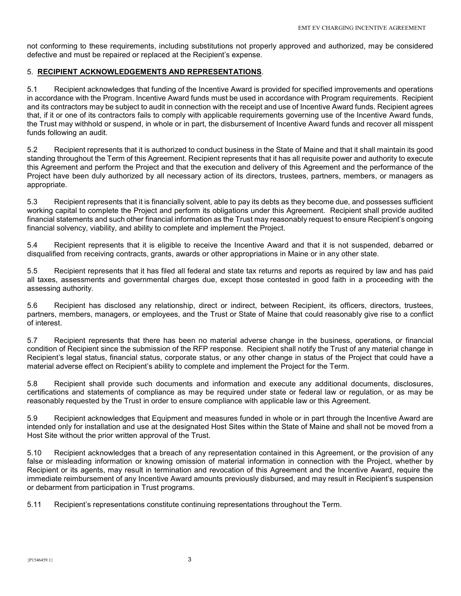not conforming to these requirements, including substitutions not properly approved and authorized, may be considered defective and must be repaired or replaced at the Recipient's expense.

## 5. RECIPIENT ACKNOWLEDGEMENTS AND REPRESENTATIONS.

5.1 Recipient acknowledges that funding of the Incentive Award is provided for specified improvements and operations in accordance with the Program. Incentive Award funds must be used in accordance with Program requirements. Recipient and its contractors may be subject to audit in connection with the receipt and use of Incentive Award funds. Recipient agrees that, if it or one of its contractors fails to comply with applicable requirements governing use of the Incentive Award funds, the Trust may withhold or suspend, in whole or in part, the disbursement of Incentive Award funds and recover all misspent funds following an audit.

5.2 Recipient represents that it is authorized to conduct business in the State of Maine and that it shall maintain its good standing throughout the Term of this Agreement. Recipient represents that it has all requisite power and authority to execute this Agreement and perform the Project and that the execution and delivery of this Agreement and the performance of the Project have been duly authorized by all necessary action of its directors, trustees, partners, members, or managers as appropriate.

5.3 Recipient represents that it is financially solvent, able to pay its debts as they become due, and possesses sufficient working capital to complete the Project and perform its obligations under this Agreement. Recipient shall provide audited financial statements and such other financial information as the Trust may reasonably request to ensure Recipient's ongoing financial solvency, viability, and ability to complete and implement the Project.

5.4 Recipient represents that it is eligible to receive the Incentive Award and that it is not suspended, debarred or disqualified from receiving contracts, grants, awards or other appropriations in Maine or in any other state.

5.5 Recipient represents that it has filed all federal and state tax returns and reports as required by law and has paid all taxes, assessments and governmental charges due, except those contested in good faith in a proceeding with the assessing authority.

5.6 Recipient has disclosed any relationship, direct or indirect, between Recipient, its officers, directors, trustees, partners, members, managers, or employees, and the Trust or State of Maine that could reasonably give rise to a conflict of interest.

5.7 Recipient represents that there has been no material adverse change in the business, operations, or financial condition of Recipient since the submission of the RFP response. Recipient shall notify the Trust of any material change in Recipient's legal status, financial status, corporate status, or any other change in status of the Project that could have a material adverse effect on Recipient's ability to complete and implement the Project for the Term.

5.8 Recipient shall provide such documents and information and execute any additional documents, disclosures, certifications and statements of compliance as may be required under state or federal law or regulation, or as may be reasonably requested by the Trust in order to ensure compliance with applicable law or this Agreement.

5.9 Recipient acknowledges that Equipment and measures funded in whole or in part through the Incentive Award are intended only for installation and use at the designated Host Sites within the State of Maine and shall not be moved from a Host Site without the prior written approval of the Trust.

5.10 Recipient acknowledges that a breach of any representation contained in this Agreement, or the provision of any false or misleading information or knowing omission of material information in connection with the Project, whether by Recipient or its agents, may result in termination and revocation of this Agreement and the Incentive Award, require the immediate reimbursement of any Incentive Award amounts previously disbursed, and may result in Recipient's suspension or debarment from participation in Trust programs.

5.11 Recipient's representations constitute continuing representations throughout the Term.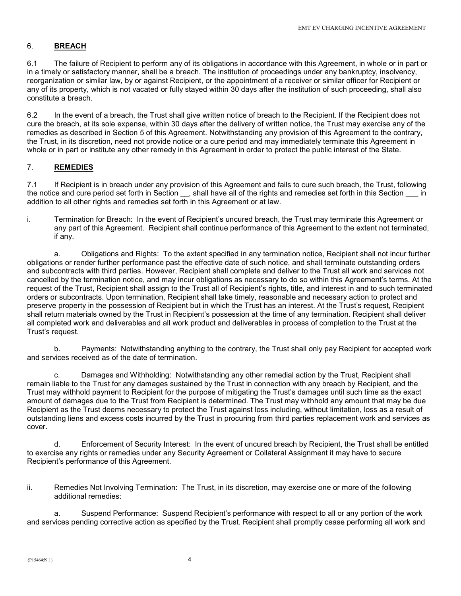# 6. BREACH

6.1 The failure of Recipient to perform any of its obligations in accordance with this Agreement, in whole or in part or in a timely or satisfactory manner, shall be a breach. The institution of proceedings under any bankruptcy, insolvency, reorganization or similar law, by or against Recipient, or the appointment of a receiver or similar officer for Recipient or any of its property, which is not vacated or fully stayed within 30 days after the institution of such proceeding, shall also constitute a breach.

6.2 In the event of a breach, the Trust shall give written notice of breach to the Recipient. If the Recipient does not cure the breach, at its sole expense, within 30 days after the delivery of written notice, the Trust may exercise any of the remedies as described in Section 5 of this Agreement. Notwithstanding any provision of this Agreement to the contrary, the Trust, in its discretion, need not provide notice or a cure period and may immediately terminate this Agreement in whole or in part or institute any other remedy in this Agreement in order to protect the public interest of the State.

# 7. REMEDIES

7.1 If Recipient is in breach under any provision of this Agreement and fails to cure such breach, the Trust, following the notice and cure period set forth in Section \_\_, shall have all of the rights and remedies set forth in this Section \_\_\_ in addition to all other rights and remedies set forth in this Agreement or at law.

i. Termination for Breach: In the event of Recipient's uncured breach, the Trust may terminate this Agreement or any part of this Agreement. Recipient shall continue performance of this Agreement to the extent not terminated, if any.

 a. Obligations and Rights: To the extent specified in any termination notice, Recipient shall not incur further obligations or render further performance past the effective date of such notice, and shall terminate outstanding orders and subcontracts with third parties. However, Recipient shall complete and deliver to the Trust all work and services not cancelled by the termination notice, and may incur obligations as necessary to do so within this Agreement's terms. At the request of the Trust, Recipient shall assign to the Trust all of Recipient's rights, title, and interest in and to such terminated orders or subcontracts. Upon termination, Recipient shall take timely, reasonable and necessary action to protect and preserve property in the possession of Recipient but in which the Trust has an interest. At the Trust's request, Recipient shall return materials owned by the Trust in Recipient's possession at the time of any termination. Recipient shall deliver all completed work and deliverables and all work product and deliverables in process of completion to the Trust at the Trust's request.

 b. Payments: Notwithstanding anything to the contrary, the Trust shall only pay Recipient for accepted work and services received as of the date of termination.

 c. Damages and Withholding: Notwithstanding any other remedial action by the Trust, Recipient shall remain liable to the Trust for any damages sustained by the Trust in connection with any breach by Recipient, and the Trust may withhold payment to Recipient for the purpose of mitigating the Trust's damages until such time as the exact amount of damages due to the Trust from Recipient is determined. The Trust may withhold any amount that may be due Recipient as the Trust deems necessary to protect the Trust against loss including, without limitation, loss as a result of outstanding liens and excess costs incurred by the Trust in procuring from third parties replacement work and services as cover.

 d. Enforcement of Security Interest: In the event of uncured breach by Recipient, the Trust shall be entitled to exercise any rights or remedies under any Security Agreement or Collateral Assignment it may have to secure Recipient's performance of this Agreement.

ii. Remedies Not Involving Termination: The Trust, in its discretion, may exercise one or more of the following additional remedies:

 a. Suspend Performance: Suspend Recipient's performance with respect to all or any portion of the work and services pending corrective action as specified by the Trust. Recipient shall promptly cease performing all work and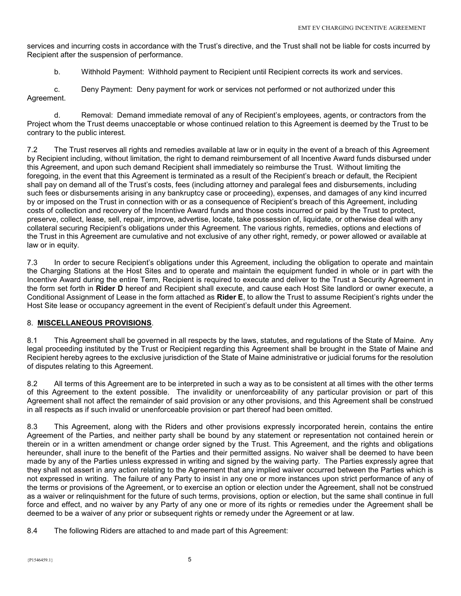services and incurring costs in accordance with the Trust's directive, and the Trust shall not be liable for costs incurred by Recipient after the suspension of performance.

b. Withhold Payment: Withhold payment to Recipient until Recipient corrects its work and services.

 c. Deny Payment: Deny payment for work or services not performed or not authorized under this Agreement.

 d. Removal: Demand immediate removal of any of Recipient's employees, agents, or contractors from the Project whom the Trust deems unacceptable or whose continued relation to this Agreement is deemed by the Trust to be contrary to the public interest.

7.2 The Trust reserves all rights and remedies available at law or in equity in the event of a breach of this Agreement by Recipient including, without limitation, the right to demand reimbursement of all Incentive Award funds disbursed under this Agreement, and upon such demand Recipient shall immediately so reimburse the Trust. Without limiting the foregoing, in the event that this Agreement is terminated as a result of the Recipient's breach or default, the Recipient shall pay on demand all of the Trust's costs, fees (including attorney and paralegal fees and disbursements, including such fees or disbursements arising in any bankruptcy case or proceeding), expenses, and damages of any kind incurred by or imposed on the Trust in connection with or as a consequence of Recipient's breach of this Agreement, including costs of collection and recovery of the Incentive Award funds and those costs incurred or paid by the Trust to protect, preserve, collect, lease, sell, repair, improve, advertise, locate, take possession of, liquidate, or otherwise deal with any collateral securing Recipient's obligations under this Agreement. The various rights, remedies, options and elections of the Trust in this Agreement are cumulative and not exclusive of any other right, remedy, or power allowed or available at law or in equity.

7.3 In order to secure Recipient's obligations under this Agreement, including the obligation to operate and maintain the Charging Stations at the Host Sites and to operate and maintain the equipment funded in whole or in part with the Incentive Award during the entire Term, Recipient is required to execute and deliver to the Trust a Security Agreement in the form set forth in Rider D hereof and Recipient shall execute, and cause each Host Site landlord or owner execute, a Conditional Assignment of Lease in the form attached as Rider E, to allow the Trust to assume Recipient's rights under the Host Site lease or occupancy agreement in the event of Recipient's default under this Agreement.

# 8. MISCELLANEOUS PROVISIONS.

8.1 This Agreement shall be governed in all respects by the laws, statutes, and regulations of the State of Maine. Any legal proceeding instituted by the Trust or Recipient regarding this Agreement shall be brought in the State of Maine and Recipient hereby agrees to the exclusive jurisdiction of the State of Maine administrative or judicial forums for the resolution of disputes relating to this Agreement.

8.2 All terms of this Agreement are to be interpreted in such a way as to be consistent at all times with the other terms of this Agreement to the extent possible. The invalidity or unenforceability of any particular provision or part of this Agreement shall not affect the remainder of said provision or any other provisions, and this Agreement shall be construed in all respects as if such invalid or unenforceable provision or part thereof had been omitted.

8.3 This Agreement, along with the Riders and other provisions expressly incorporated herein, contains the entire Agreement of the Parties, and neither party shall be bound by any statement or representation not contained herein or therein or in a written amendment or change order signed by the Trust. This Agreement, and the rights and obligations hereunder, shall inure to the benefit of the Parties and their permitted assigns. No waiver shall be deemed to have been made by any of the Parties unless expressed in writing and signed by the waiving party. The Parties expressly agree that they shall not assert in any action relating to the Agreement that any implied waiver occurred between the Parties which is not expressed in writing. The failure of any Party to insist in any one or more instances upon strict performance of any of the terms or provisions of the Agreement, or to exercise an option or election under the Agreement, shall not be construed as a waiver or relinquishment for the future of such terms, provisions, option or election, but the same shall continue in full force and effect, and no waiver by any Party of any one or more of its rights or remedies under the Agreement shall be deemed to be a waiver of any prior or subsequent rights or remedy under the Agreement or at law.

8.4 The following Riders are attached to and made part of this Agreement: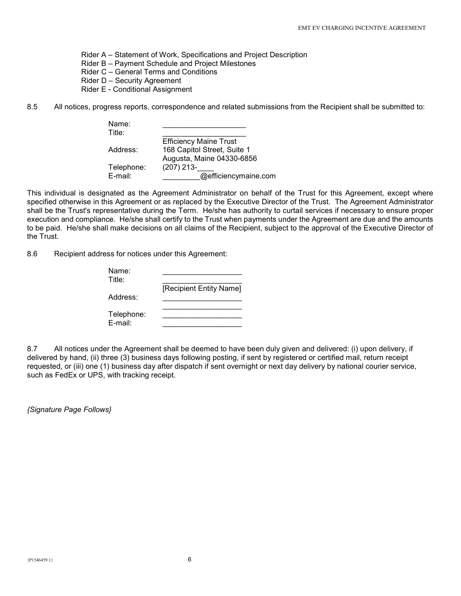Rider A – Statement of Work, Specifications and Project Description

Rider B – Payment Schedule and Project Milestones

Rider C – General Terms and Conditions

Rider D – Security Agreement

Rider E - Conditional Assignment

8.5 All notices, progress reports, correspondence and related submissions from the Recipient shall be submitted to:

| Name:<br>Title: |                               |
|-----------------|-------------------------------|
|                 | <b>Efficiency Maine Trust</b> |
| Address:        | 168 Capitol Street, Suite 1   |
|                 | Augusta, Maine 04330-6856     |
| Telephone:      | $(207)$ 213-                  |
| E-mail:         | @efficiencymaine.com          |

This individual is designated as the Agreement Administrator on behalf of the Trust for this Agreement, except where specified otherwise in this Agreement or as replaced by the Executive Director of the Trust. The Agreement Administrator shall be the Trust's representative during the Term. He/she has authority to curtail services if necessary to ensure proper execution and compliance. He/she shall certify to the Trust when payments under the Agreement are due and the amounts to be paid. He/she shall make decisions on all claims of the Recipient, subject to the approval of the Executive Director of the Trust.

8.6 Recipient address for notices under this Agreement:

| Name:<br>Title:       |                         |
|-----------------------|-------------------------|
| Address:              | [Recipient Entity Name] |
| Telephone:<br>E-mail: |                         |

8.7 All notices under the Agreement shall be deemed to have been duly given and delivered: (i) upon delivery, if delivered by hand, (ii) three (3) business days following posting, if sent by registered or certified mail, return receipt requested, or (iii) one (1) business day after dispatch if sent overnight or next day delivery by national courier service, such as FedEx or UPS, with tracking receipt.

{Signature Page Follows}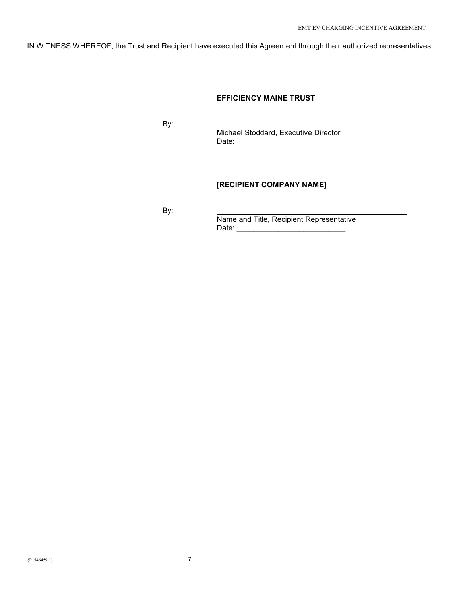IN WITNESS WHEREOF, the Trust and Recipient have executed this Agreement through their authorized representatives.

## EFFICIENCY MAINE TRUST

By:

 Michael Stoddard, Executive Director Date: \_\_\_\_\_\_\_\_\_\_\_\_\_\_\_\_\_\_\_\_\_\_\_\_\_

# [RECIPIENT COMPANY NAME]

By:

 Name and Title, Recipient Representative  $\blacksquare$   $\blacksquare$   $\blacksquare$   $\blacksquare$   $\blacksquare$   $\blacksquare$   $\blacksquare$   $\blacksquare$   $\blacksquare$   $\blacksquare$   $\blacksquare$   $\blacksquare$   $\blacksquare$   $\blacksquare$   $\blacksquare$   $\blacksquare$   $\blacksquare$   $\blacksquare$   $\blacksquare$   $\blacksquare$   $\blacksquare$   $\blacksquare$   $\blacksquare$   $\blacksquare$   $\blacksquare$   $\blacksquare$   $\blacksquare$   $\blacksquare$   $\blacksquare$   $\blacksquare$   $\blacksquare$   $\blacks$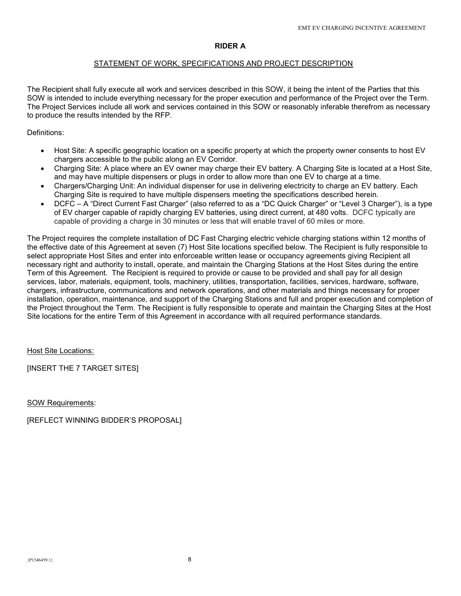# RIDER A

### STATEMENT OF WORK, SPECIFICATIONS AND PROJECT DESCRIPTION

The Recipient shall fully execute all work and services described in this SOW, it being the intent of the Parties that this SOW is intended to include everything necessary for the proper execution and performance of the Project over the Term. The Project Services include all work and services contained in this SOW or reasonably inferable therefrom as necessary to produce the results intended by the RFP.

# Definitions:

- Host Site: A specific geographic location on a specific property at which the property owner consents to host EV chargers accessible to the public along an EV Corridor.
- Charging Site: A place where an EV owner may charge their EV battery. A Charging Site is located at a Host Site, and may have multiple dispensers or plugs in order to allow more than one EV to charge at a time.
- Chargers/Charging Unit: An individual dispenser for use in delivering electricity to charge an EV battery. Each Charging Site is required to have multiple dispensers meeting the specifications described herein.
- DCFC A "Direct Current Fast Charger" (also referred to as a "DC Quick Charger" or "Level 3 Charger"), is a type of EV charger capable of rapidly charging EV batteries, using direct current, at 480 volts. DCFC typically are capable of providing a charge in 30 minutes or less that will enable travel of 60 miles or more.

The Project requires the complete installation of DC Fast Charging electric vehicle charging stations within 12 months of the effective date of this Agreement at seven (7) Host Site locations specified below. The Recipient is fully responsible to select appropriate Host Sites and enter into enforceable written lease or occupancy agreements giving Recipient all necessary right and authority to install, operate, and maintain the Charging Stations at the Host Sites during the entire Term of this Agreement. The Recipient is required to provide or cause to be provided and shall pay for all design services, labor, materials, equipment, tools, machinery, utilities, transportation, facilities, services, hardware, software, chargers, infrastructure, communications and network operations, and other materials and things necessary for proper installation, operation, maintenance, and support of the Charging Stations and full and proper execution and completion of the Project throughout the Term. The Recipient is fully responsible to operate and maintain the Charging Sites at the Host Site locations for the entire Term of this Agreement in accordance with all required performance standards.

Host Site Locations:

[INSERT THE 7 TARGET SITES]

SOW Requirements:

[REFLECT WINNING BIDDER'S PROPOSAL]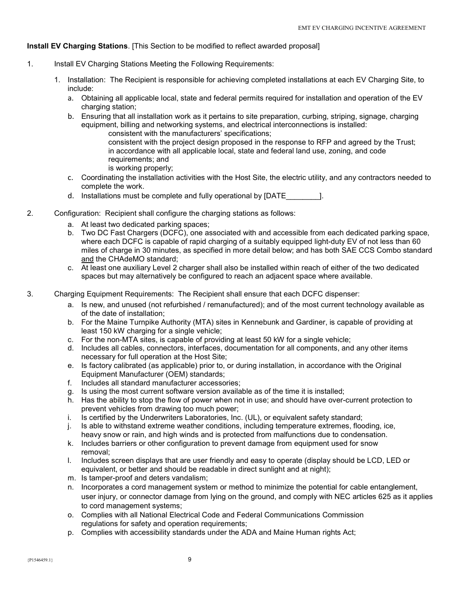# Install EV Charging Stations. [This Section to be modified to reflect awarded proposal]

- 1. Install EV Charging Stations Meeting the Following Requirements:
	- 1. Installation: The Recipient is responsible for achieving completed installations at each EV Charging Site, to include:
		- a. Obtaining all applicable local, state and federal permits required for installation and operation of the EV charging station;
		- b. Ensuring that all installation work as it pertains to site preparation, curbing, striping, signage, charging equipment, billing and networking systems, and electrical interconnections is installed:
			- consistent with the manufacturers' specifications; consistent with the project design proposed in the response to RFP and agreed by the Trust; in accordance with all applicable local, state and federal land use, zoning, and code requirements; and is working properly;
		- c. Coordinating the installation activities with the Host Site, the electric utility, and any contractors needed to complete the work.
		- d. Installations must be complete and fully operational by [DATE  $\qquad$  ].
- 2. Configuration: Recipient shall configure the charging stations as follows:
	- a. At least two dedicated parking spaces;
	- b. Two DC Fast Chargers (DCFC), one associated with and accessible from each dedicated parking space, where each DCFC is capable of rapid charging of a suitably equipped light-duty EV of not less than 60 miles of charge in 30 minutes, as specified in more detail below; and has both SAE CCS Combo standard and the CHAdeMO standard;
	- c. At least one auxiliary Level 2 charger shall also be installed within reach of either of the two dedicated spaces but may alternatively be configured to reach an adjacent space where available.
- 3. Charging Equipment Requirements: The Recipient shall ensure that each DCFC dispenser:
	- a. Is new, and unused (not refurbished / remanufactured); and of the most current technology available as of the date of installation;
	- b. For the Maine Turnpike Authority (MTA) sites in Kennebunk and Gardiner, is capable of providing at least 150 kW charging for a single vehicle;
	- c. For the non-MTA sites, is capable of providing at least 50 kW for a single vehicle;
	- d. Includes all cables, connectors, interfaces, documentation for all components, and any other items necessary for full operation at the Host Site;
	- e. Is factory calibrated (as applicable) prior to, or during installation, in accordance with the Original Equipment Manufacturer (OEM) standards;
	- f. Includes all standard manufacturer accessories;
	- g. Is using the most current software version available as of the time it is installed;
	- h. Has the ability to stop the flow of power when not in use; and should have over-current protection to prevent vehicles from drawing too much power;
	- i. Is certified by the Underwriters Laboratories, Inc. (UL), or equivalent safety standard;
	- j. Is able to withstand extreme weather conditions, including temperature extremes, flooding, ice, heavy snow or rain, and high winds and is protected from malfunctions due to condensation.
	- k. Includes barriers or other configuration to prevent damage from equipment used for snow removal;
	- l. Includes screen displays that are user friendly and easy to operate (display should be LCD, LED or equivalent, or better and should be readable in direct sunlight and at night);
	- m. Is tamper-proof and deters vandalism;
	- n. Incorporates a cord management system or method to minimize the potential for cable entanglement, user injury, or connector damage from lying on the ground, and comply with NEC articles 625 as it applies to cord management systems;
	- o. Complies with all National Electrical Code and Federal Communications Commission regulations for safety and operation requirements;
	- p. Complies with accessibility standards under the ADA and Maine Human rights Act;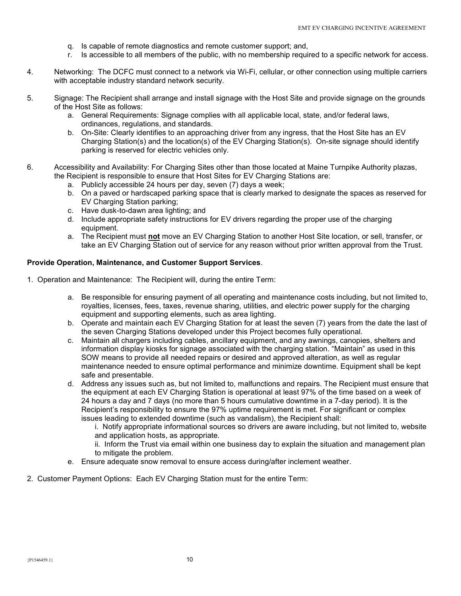- q. Is capable of remote diagnostics and remote customer support; and,
- r. Is accessible to all members of the public, with no membership required to a specific network for access.
- 4. Networking: The DCFC must connect to a network via Wi-Fi, cellular, or other connection using multiple carriers with acceptable industry standard network security.
- 5. Signage: The Recipient shall arrange and install signage with the Host Site and provide signage on the grounds of the Host Site as follows:
	- a. General Requirements: Signage complies with all applicable local, state, and/or federal laws, ordinances, regulations, and standards.
	- b. On-Site: Clearly identifies to an approaching driver from any ingress, that the Host Site has an EV Charging Station(s) and the location(s) of the EV Charging Station(s). On-site signage should identify parking is reserved for electric vehicles only.
- 6. Accessibility and Availability: For Charging Sites other than those located at Maine Turnpike Authority plazas, the Recipient is responsible to ensure that Host Sites for EV Charging Stations are:
	- a. Publicly accessible 24 hours per day, seven (7) days a week;
	- b. On a paved or hardscaped parking space that is clearly marked to designate the spaces as reserved for EV Charging Station parking;
	- c. Have dusk-to-dawn area lighting; and
	- d. Include appropriate safety instructions for EV drivers regarding the proper use of the charging equipment.
	- a. The Recipient must not move an EV Charging Station to another Host Site location, or sell, transfer, or take an EV Charging Station out of service for any reason without prior written approval from the Trust.

### Provide Operation, Maintenance, and Customer Support Services.

- 1. Operation and Maintenance: The Recipient will, during the entire Term:
	- a. Be responsible for ensuring payment of all operating and maintenance costs including, but not limited to, royalties, licenses, fees, taxes, revenue sharing, utilities, and electric power supply for the charging equipment and supporting elements, such as area lighting.
	- b. Operate and maintain each EV Charging Station for at least the seven (7) years from the date the last of the seven Charging Stations developed under this Project becomes fully operational.
	- c. Maintain all chargers including cables, ancillary equipment, and any awnings, canopies, shelters and information display kiosks for signage associated with the charging station. "Maintain" as used in this SOW means to provide all needed repairs or desired and approved alteration, as well as regular maintenance needed to ensure optimal performance and minimize downtime. Equipment shall be kept safe and presentable.
	- d. Address any issues such as, but not limited to, malfunctions and repairs. The Recipient must ensure that the equipment at each EV Charging Station is operational at least 97% of the time based on a week of 24 hours a day and 7 days (no more than 5 hours cumulative downtime in a 7-day period). It is the Recipient's responsibility to ensure the 97% uptime requirement is met. For significant or complex issues leading to extended downtime (such as vandalism), the Recipient shall:
		- i. Notify appropriate informational sources so drivers are aware including, but not limited to, website and application hosts, as appropriate.
		- ii. Inform the Trust via email within one business day to explain the situation and management plan to mitigate the problem.
	- e. Ensure adequate snow removal to ensure access during/after inclement weather.
- 2. Customer Payment Options: Each EV Charging Station must for the entire Term: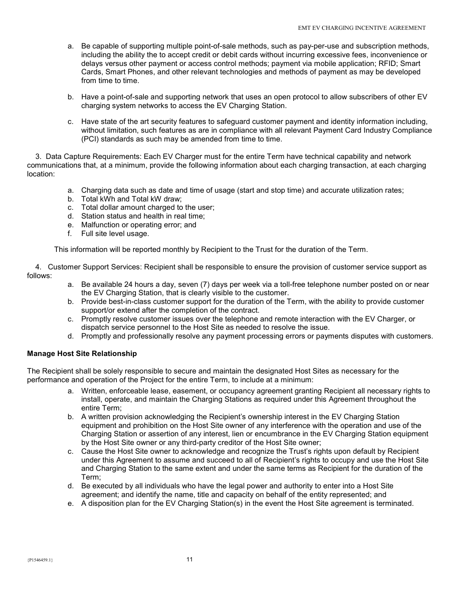- a. Be capable of supporting multiple point-of-sale methods, such as pay-per-use and subscription methods, including the ability the to accept credit or debit cards without incurring excessive fees, inconvenience or delays versus other payment or access control methods; payment via mobile application; RFID; Smart Cards, Smart Phones, and other relevant technologies and methods of payment as may be developed from time to time.
- b. Have a point-of-sale and supporting network that uses an open protocol to allow subscribers of other EV charging system networks to access the EV Charging Station.
- c. Have state of the art security features to safeguard customer payment and identity information including, without limitation, such features as are in compliance with all relevant Payment Card Industry Compliance (PCI) standards as such may be amended from time to time.

 3. Data Capture Requirements: Each EV Charger must for the entire Term have technical capability and network communications that, at a minimum, provide the following information about each charging transaction, at each charging location:

- a. Charging data such as date and time of usage (start and stop time) and accurate utilization rates;
- b. Total kWh and Total kW draw;
- c. Total dollar amount charged to the user;
- d. Station status and health in real time;
- e. Malfunction or operating error; and
- f. Full site level usage.

This information will be reported monthly by Recipient to the Trust for the duration of the Term.

 4. Customer Support Services: Recipient shall be responsible to ensure the provision of customer service support as follows:

- a. Be available 24 hours a day, seven (7) days per week via a toll-free telephone number posted on or near the EV Charging Station, that is clearly visible to the customer.
- b. Provide best-in-class customer support for the duration of the Term, with the ability to provide customer support/or extend after the completion of the contract.
- c. Promptly resolve customer issues over the telephone and remote interaction with the EV Charger, or dispatch service personnel to the Host Site as needed to resolve the issue.
- d. Promptly and professionally resolve any payment processing errors or payments disputes with customers.

# Manage Host Site Relationship

The Recipient shall be solely responsible to secure and maintain the designated Host Sites as necessary for the performance and operation of the Project for the entire Term, to include at a minimum:

- a. Written, enforceable lease, easement, or occupancy agreement granting Recipient all necessary rights to install, operate, and maintain the Charging Stations as required under this Agreement throughout the entire Term;
- b. A written provision acknowledging the Recipient's ownership interest in the EV Charging Station equipment and prohibition on the Host Site owner of any interference with the operation and use of the Charging Station or assertion of any interest, lien or encumbrance in the EV Charging Station equipment by the Host Site owner or any third-party creditor of the Host Site owner;
- c. Cause the Host Site owner to acknowledge and recognize the Trust's rights upon default by Recipient under this Agreement to assume and succeed to all of Recipient's rights to occupy and use the Host Site and Charging Station to the same extent and under the same terms as Recipient for the duration of the Term;
- d. Be executed by all individuals who have the legal power and authority to enter into a Host Site agreement; and identify the name, title and capacity on behalf of the entity represented; and
- e. A disposition plan for the EV Charging Station(s) in the event the Host Site agreement is terminated.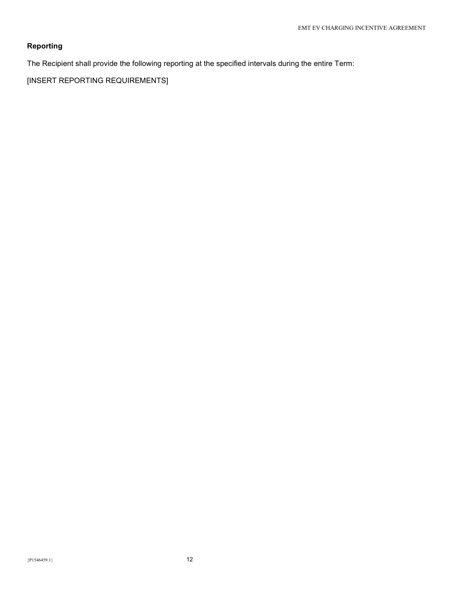# Reporting

The Recipient shall provide the following reporting at the specified intervals during the entire Term:

[INSERT REPORTING REQUIREMENTS]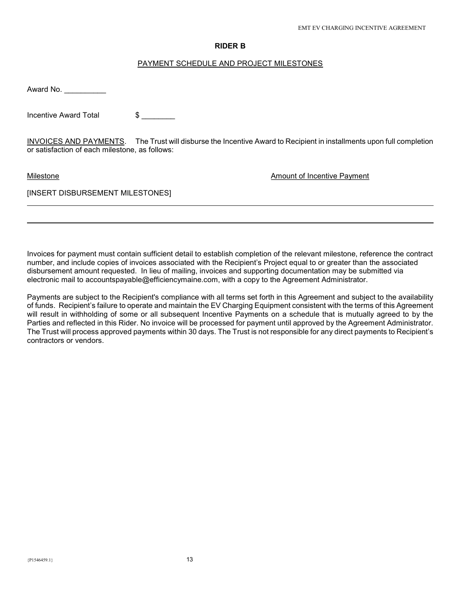### RIDER B

### PAYMENT SCHEDULE AND PROJECT MILESTONES

Award No. \_\_\_\_\_\_\_\_\_\_\_\_

Incentive Award Total \$

INVOICES AND PAYMENTS. The Trust will disburse the Incentive Award to Recipient in installments upon full completion or satisfaction of each milestone, as follows:

l

Milestone **Amount of Incentive Payment** Milestone

### [INSERT DISBURSEMENT MILESTONES]

Invoices for payment must contain sufficient detail to establish completion of the relevant milestone, reference the contract number, and include copies of invoices associated with the Recipient's Project equal to or greater than the associated disbursement amount requested. In lieu of mailing, invoices and supporting documentation may be submitted via electronic mail to accountspayable@efficiencymaine.com, with a copy to the Agreement Administrator.

Payments are subject to the Recipient's compliance with all terms set forth in this Agreement and subject to the availability of funds. Recipient's failure to operate and maintain the EV Charging Equipment consistent with the terms of this Agreement will result in withholding of some or all subsequent Incentive Payments on a schedule that is mutually agreed to by the Parties and reflected in this Rider. No invoice will be processed for payment until approved by the Agreement Administrator. The Trust will process approved payments within 30 days. The Trust is not responsible for any direct payments to Recipient's contractors or vendors.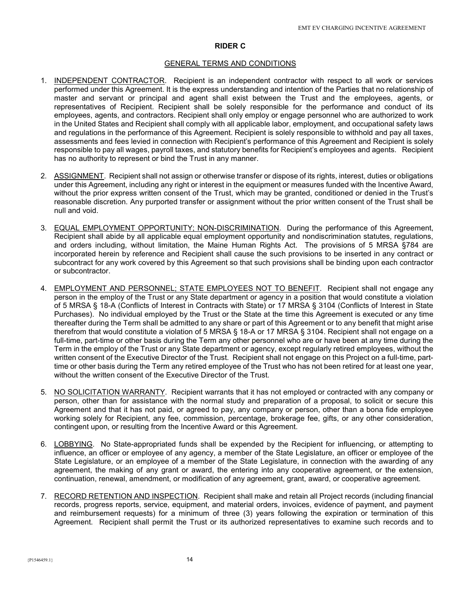### RIDER C

#### GENERAL TERMS AND CONDITIONS

- 1. INDEPENDENT CONTRACTOR. Recipient is an independent contractor with respect to all work or services performed under this Agreement. It is the express understanding and intention of the Parties that no relationship of master and servant or principal and agent shall exist between the Trust and the employees, agents, or representatives of Recipient. Recipient shall be solely responsible for the performance and conduct of its employees, agents, and contractors. Recipient shall only employ or engage personnel who are authorized to work in the United States and Recipient shall comply with all applicable labor, employment, and occupational safety laws and regulations in the performance of this Agreement. Recipient is solely responsible to withhold and pay all taxes, assessments and fees levied in connection with Recipient's performance of this Agreement and Recipient is solely responsible to pay all wages, payroll taxes, and statutory benefits for Recipient's employees and agents. Recipient has no authority to represent or bind the Trust in any manner.
- 2. ASSIGNMENT. Recipient shall not assign or otherwise transfer or dispose of its rights, interest, duties or obligations under this Agreement, including any right or interest in the equipment or measures funded with the Incentive Award, without the prior express written consent of the Trust, which may be granted, conditioned or denied in the Trust's reasonable discretion. Any purported transfer or assignment without the prior written consent of the Trust shall be null and void.
- 3. EQUAL EMPLOYMENT OPPORTUNITY; NON-DISCRIMINATION. During the performance of this Agreement, Recipient shall abide by all applicable equal employment opportunity and nondiscrimination statutes, regulations, and orders including, without limitation, the Maine Human Rights Act. The provisions of 5 MRSA §784 are incorporated herein by reference and Recipient shall cause the such provisions to be inserted in any contract or subcontract for any work covered by this Agreement so that such provisions shall be binding upon each contractor or subcontractor.
- 4. EMPLOYMENT AND PERSONNEL; STATE EMPLOYEES NOT TO BENEFIT. Recipient shall not engage any person in the employ of the Trust or any State department or agency in a position that would constitute a violation of 5 MRSA § 18-A (Conflicts of Interest in Contracts with State) or 17 MRSA § 3104 (Conflicts of Interest in State Purchases). No individual employed by the Trust or the State at the time this Agreement is executed or any time thereafter during the Term shall be admitted to any share or part of this Agreement or to any benefit that might arise therefrom that would constitute a violation of 5 MRSA § 18-A or 17 MRSA § 3104. Recipient shall not engage on a full-time, part-time or other basis during the Term any other personnel who are or have been at any time during the Term in the employ of the Trust or any State department or agency, except regularly retired employees, without the written consent of the Executive Director of the Trust. Recipient shall not engage on this Project on a full-time, parttime or other basis during the Term any retired employee of the Trust who has not been retired for at least one year, without the written consent of the Executive Director of the Trust.
- 5. NO SOLICITATION WARRANTY. Recipient warrants that it has not employed or contracted with any company or person, other than for assistance with the normal study and preparation of a proposal, to solicit or secure this Agreement and that it has not paid, or agreed to pay, any company or person, other than a bona fide employee working solely for Recipient, any fee, commission, percentage, brokerage fee, gifts, or any other consideration, contingent upon, or resulting from the Incentive Award or this Agreement.
- 6. LOBBYING. No State-appropriated funds shall be expended by the Recipient for influencing, or attempting to influence, an officer or employee of any agency, a member of the State Legislature, an officer or employee of the State Legislature, or an employee of a member of the State Legislature, in connection with the awarding of any agreement, the making of any grant or award, the entering into any cooperative agreement, or the extension, continuation, renewal, amendment, or modification of any agreement, grant, award, or cooperative agreement.
- 7. RECORD RETENTION AND INSPECTION. Recipient shall make and retain all Project records (including financial records, progress reports, service, equipment, and material orders, invoices, evidence of payment, and payment and reimbursement requests) for a minimum of three (3) years following the expiration or termination of this Agreement. Recipient shall permit the Trust or its authorized representatives to examine such records and to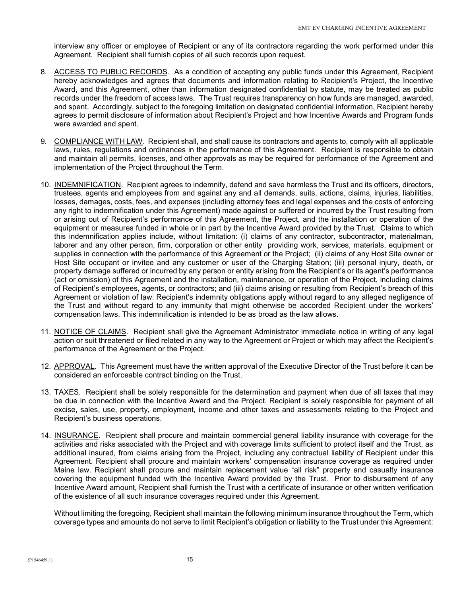interview any officer or employee of Recipient or any of its contractors regarding the work performed under this Agreement. Recipient shall furnish copies of all such records upon request.

- 8. ACCESS TO PUBLIC RECORDS. As a condition of accepting any public funds under this Agreement, Recipient hereby acknowledges and agrees that documents and information relating to Recipient's Project, the Incentive Award, and this Agreement, other than information designated confidential by statute, may be treated as public records under the freedom of access laws. The Trust requires transparency on how funds are managed, awarded, and spent. Accordingly, subject to the foregoing limitation on designated confidential information, Recipient hereby agrees to permit disclosure of information about Recipient's Project and how Incentive Awards and Program funds were awarded and spent.
- 9. COMPLIANCE WITH LAW. Recipient shall, and shall cause its contractors and agents to, comply with all applicable laws, rules, regulations and ordinances in the performance of this Agreement. Recipient is responsible to obtain and maintain all permits, licenses, and other approvals as may be required for performance of the Agreement and implementation of the Project throughout the Term.
- 10. INDEMNIFICATION. Recipient agrees to indemnify, defend and save harmless the Trust and its officers, directors, trustees, agents and employees from and against any and all demands, suits, actions, claims, injuries, liabilities, losses, damages, costs, fees, and expenses (including attorney fees and legal expenses and the costs of enforcing any right to indemnification under this Agreement) made against or suffered or incurred by the Trust resulting from or arising out of Recipient's performance of this Agreement, the Project, and the installation or operation of the equipment or measures funded in whole or in part by the Incentive Award provided by the Trust. Claims to which this indemnification applies include, without limitation: (i) claims of any contractor, subcontractor, materialman, laborer and any other person, firm, corporation or other entity providing work, services, materials, equipment or supplies in connection with the performance of this Agreement or the Project; (ii) claims of any Host Site owner or Host Site occupant or invitee and any customer or user of the Charging Station; (iii) personal injury, death, or property damage suffered or incurred by any person or entity arising from the Recipient's or its agent's performance (act or omission) of this Agreement and the installation, maintenance, or operation of the Project, including claims of Recipient's employees, agents, or contractors; and (iii) claims arising or resulting from Recipient's breach of this Agreement or violation of law. Recipient's indemnity obligations apply without regard to any alleged negligence of the Trust and without regard to any immunity that might otherwise be accorded Recipient under the workers' compensation laws. This indemnification is intended to be as broad as the law allows.
- 11. NOTICE OF CLAIMS. Recipient shall give the Agreement Administrator immediate notice in writing of any legal action or suit threatened or filed related in any way to the Agreement or Project or which may affect the Recipient's performance of the Agreement or the Project.
- 12. APPROVAL. This Agreement must have the written approval of the Executive Director of the Trust before it can be considered an enforceable contract binding on the Trust.
- 13. TAXES. Recipient shall be solely responsible for the determination and payment when due of all taxes that may be due in connection with the Incentive Award and the Project. Recipient is solely responsible for payment of all excise, sales, use, property, employment, income and other taxes and assessments relating to the Project and Recipient's business operations.
- 14. INSURANCE. Recipient shall procure and maintain commercial general liability insurance with coverage for the activities and risks associated with the Project and with coverage limits sufficient to protect itself and the Trust, as additional insured, from claims arising from the Project, including any contractual liability of Recipient under this Agreement. Recipient shall procure and maintain workers' compensation insurance coverage as required under Maine law. Recipient shall procure and maintain replacement value "all risk" property and casualty insurance covering the equipment funded with the Incentive Award provided by the Trust. Prior to disbursement of any Incentive Award amount, Recipient shall furnish the Trust with a certificate of insurance or other written verification of the existence of all such insurance coverages required under this Agreement.

Without limiting the foregoing, Recipient shall maintain the following minimum insurance throughout the Term, which coverage types and amounts do not serve to limit Recipient's obligation or liability to the Trust under this Agreement: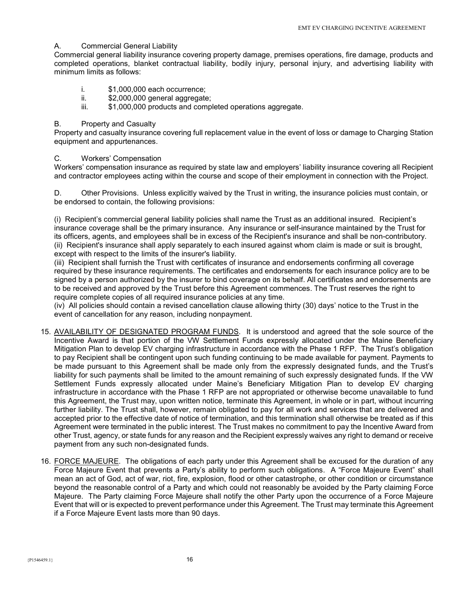### A. Commercial General Liability

Commercial general liability insurance covering property damage, premises operations, fire damage, products and completed operations, blanket contractual liability, bodily injury, personal injury, and advertising liability with minimum limits as follows:

- i. \$1,000,000 each occurrence;
- ii. \$2,000,000 general aggregate;
- iii.  $$1,000,000$  products and completed operations aggregate.

### B. Property and Casualty

Property and casualty insurance covering full replacement value in the event of loss or damage to Charging Station equipment and appurtenances.

#### C. Workers' Compensation

Workers' compensation insurance as required by state law and employers' liability insurance covering all Recipient and contractor employees acting within the course and scope of their employment in connection with the Project.

D. Other Provisions. Unless explicitly waived by the Trust in writing, the insurance policies must contain, or be endorsed to contain, the following provisions:

 (i) Recipient's commercial general liability policies shall name the Trust as an additional insured. Recipient's insurance coverage shall be the primary insurance. Any insurance or self-insurance maintained by the Trust for its officers, agents, and employees shall be in excess of the Recipient's insurance and shall be non-contributory. (ii) Recipient's insurance shall apply separately to each insured against whom claim is made or suit is brought, except with respect to the limits of the insurer's liability.

 (iii) Recipient shall furnish the Trust with certificates of insurance and endorsements confirming all coverage required by these insurance requirements. The certificates and endorsements for each insurance policy are to be signed by a person authorized by the insurer to bind coverage on its behalf. All certificates and endorsements are to be received and approved by the Trust before this Agreement commences. The Trust reserves the right to require complete copies of all required insurance policies at any time.

 (iv) All policies should contain a revised cancellation clause allowing thirty (30) days' notice to the Trust in the event of cancellation for any reason, including nonpayment.

- 15. AVAILABILITY OF DESIGNATED PROGRAM FUNDS. It is understood and agreed that the sole source of the Incentive Award is that portion of the VW Settlement Funds expressly allocated under the Maine Beneficiary Mitigation Plan to develop EV charging infrastructure in accordance with the Phase 1 RFP. The Trust's obligation to pay Recipient shall be contingent upon such funding continuing to be made available for payment. Payments to be made pursuant to this Agreement shall be made only from the expressly designated funds, and the Trust's liability for such payments shall be limited to the amount remaining of such expressly designated funds. If the VW Settlement Funds expressly allocated under Maine's Beneficiary Mitigation Plan to develop EV charging infrastructure in accordance with the Phase 1 RFP are not appropriated or otherwise become unavailable to fund this Agreement, the Trust may, upon written notice, terminate this Agreement, in whole or in part, without incurring further liability. The Trust shall, however, remain obligated to pay for all work and services that are delivered and accepted prior to the effective date of notice of termination, and this termination shall otherwise be treated as if this Agreement were terminated in the public interest. The Trust makes no commitment to pay the Incentive Award from other Trust, agency, or state funds for any reason and the Recipient expressly waives any right to demand or receive payment from any such non-designated funds.
- 16. FORCE MAJEURE. The obligations of each party under this Agreement shall be excused for the duration of any Force Majeure Event that prevents a Party's ability to perform such obligations. A "Force Majeure Event" shall mean an act of God, act of war, riot, fire, explosion, flood or other catastrophe, or other condition or circumstance beyond the reasonable control of a Party and which could not reasonably be avoided by the Party claiming Force Majeure. The Party claiming Force Majeure shall notify the other Party upon the occurrence of a Force Majeure Event that will or is expected to prevent performance under this Agreement. The Trust may terminate this Agreement if a Force Majeure Event lasts more than 90 days.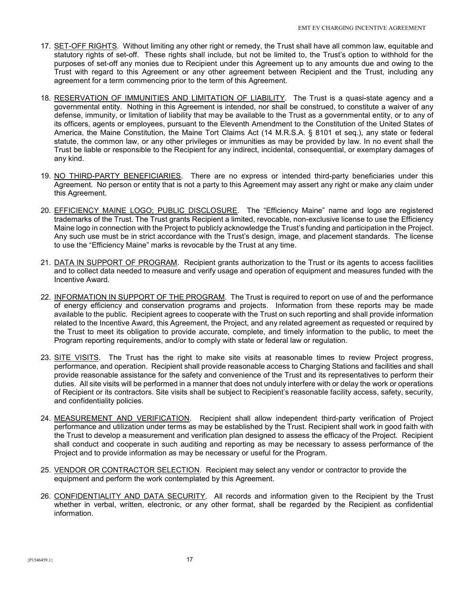- 17. SET-OFF RIGHTS. Without limiting any other right or remedy, the Trust shall have all common law, equitable and statutory rights of set-off. These rights shall include, but not be limited to, the Trust's option to withhold for the purposes of set-off any monies due to Recipient under this Agreement up to any amounts due and owing to the Trust with regard to this Agreement or any other agreement between Recipient and the Trust, including any agreement for a term commencing prior to the term of this Agreement.
- 18. RESERVATION OF IMMUNITIES AND LIMITATION OF LIABILITY. The Trust is a quasi-state agency and a governmental entity. Nothing in this Agreement is intended, nor shall be construed, to constitute a waiver of any defense, immunity, or limitation of liability that may be available to the Trust as a governmental entity, or to any of its officers, agents or employees, pursuant to the Eleventh Amendment to the Constitution of the United States of America, the Maine Constitution, the Maine Tort Claims Act (14 M.R.S.A. § 8101 et seq.), any state or federal statute, the common law, or any other privileges or immunities as may be provided by law. In no event shall the Trust be liable or responsible to the Recipient for any indirect, incidental, consequential, or exemplary damages of any kind.
- 19. NO THIRD-PARTY BENEFICIARIES. There are no express or intended third-party beneficiaries under this Agreement. No person or entity that is not a party to this Agreement may assert any right or make any claim under this Agreement.
- 20. EFFICIENCY MAINE LOGO; PUBLIC DISCLOSURE. The "Efficiency Maine" name and logo are registered trademarks of the Trust. The Trust grants Recipient a limited, revocable, non-exclusive license to use the Efficiency Maine logo in connection with the Project to publicly acknowledge the Trust's funding and participation in the Project. Any such use must be in strict accordance with the Trust's design, image, and placement standards. The license to use the "Efficiency Maine" marks is revocable by the Trust at any time.
- 21. DATA IN SUPPORT OF PROGRAM. Recipient grants authorization to the Trust or its agents to access facilities and to collect data needed to measure and verify usage and operation of equipment and measures funded with the Incentive Award.
- 22. INFORMATION IN SUPPORT OF THE PROGRAM. The Trust is required to report on use of and the performance of energy efficiency and conservation programs and projects. Information from these reports may be made available to the public. Recipient agrees to cooperate with the Trust on such reporting and shall provide information related to the Incentive Award, this Agreement, the Project, and any related agreement as requested or required by the Trust to meet its obligation to provide accurate, complete, and timely information to the public, to meet the Program reporting requirements, and/or to comply with state or federal law or regulation.
- 23. SITE VISITS. The Trust has the right to make site visits at reasonable times to review Project progress, performance, and operation. Recipient shall provide reasonable access to Charging Stations and facilities and shall provide reasonable assistance for the safety and convenience of the Trust and its representatives to perform their duties. All site visits will be performed in a manner that does not unduly interfere with or delay the work or operations of Recipient or its contractors. Site visits shall be subject to Recipient's reasonable facility access, safety, security, and confidentiality policies.
- 24. MEASUREMENT AND VERIFICATION. Recipient shall allow independent third-party verification of Project performance and utilization under terms as may be established by the Trust. Recipient shall work in good faith with the Trust to develop a measurement and verification plan designed to assess the efficacy of the Project. Recipient shall conduct and cooperate in such auditing and reporting as may be necessary to assess performance of the Project and to provide information as may be necessary or useful for the Program.
- 25. VENDOR OR CONTRACTOR SELECTION. Recipient may select any vendor or contractor to provide the equipment and perform the work contemplated by this Agreement.
- 26. CONFIDENTIALITY AND DATA SECURITY. All records and information given to the Recipient by the Trust whether in verbal, written, electronic, or any other format, shall be regarded by the Recipient as confidential information.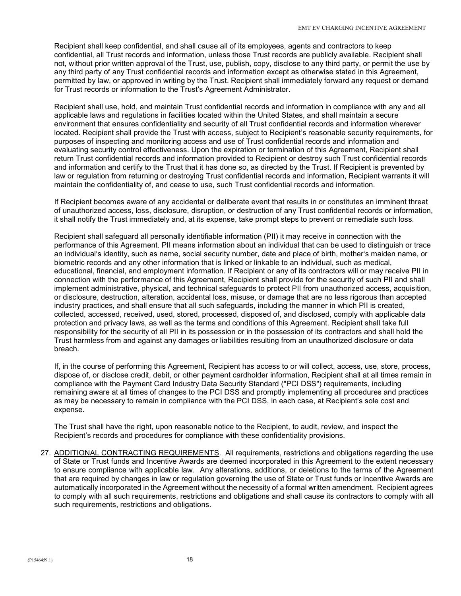Recipient shall keep confidential, and shall cause all of its employees, agents and contractors to keep confidential, all Trust records and information, unless those Trust records are publicly available. Recipient shall not, without prior written approval of the Trust, use, publish, copy, disclose to any third party, or permit the use by any third party of any Trust confidential records and information except as otherwise stated in this Agreement, permitted by law, or approved in writing by the Trust. Recipient shall immediately forward any request or demand for Trust records or information to the Trust's Agreement Administrator.

Recipient shall use, hold, and maintain Trust confidential records and information in compliance with any and all applicable laws and regulations in facilities located within the United States, and shall maintain a secure environment that ensures confidentiality and security of all Trust confidential records and information wherever located. Recipient shall provide the Trust with access, subject to Recipient's reasonable security requirements, for purposes of inspecting and monitoring access and use of Trust confidential records and information and evaluating security control effectiveness. Upon the expiration or termination of this Agreement, Recipient shall return Trust confidential records and information provided to Recipient or destroy such Trust confidential records and information and certify to the Trust that it has done so, as directed by the Trust. If Recipient is prevented by law or regulation from returning or destroying Trust confidential records and information, Recipient warrants it will maintain the confidentiality of, and cease to use, such Trust confidential records and information.

If Recipient becomes aware of any accidental or deliberate event that results in or constitutes an imminent threat of unauthorized access, loss, disclosure, disruption, or destruction of any Trust confidential records or information, it shall notify the Trust immediately and, at its expense, take prompt steps to prevent or remediate such loss.

Recipient shall safeguard all personally identifiable information (PII) it may receive in connection with the performance of this Agreement. PII means information about an individual that can be used to distinguish or trace an individual's identity, such as name, social security number, date and place of birth, mother's maiden name, or biometric records and any other information that is linked or linkable to an individual, such as medical, educational, financial, and employment information. If Recipient or any of its contractors will or may receive PII in connection with the performance of this Agreement, Recipient shall provide for the security of such PII and shall implement administrative, physical, and technical safeguards to protect PII from unauthorized access, acquisition, or disclosure, destruction, alteration, accidental loss, misuse, or damage that are no less rigorous than accepted industry practices, and shall ensure that all such safeguards, including the manner in which PII is created, collected, accessed, received, used, stored, processed, disposed of, and disclosed, comply with applicable data protection and privacy laws, as well as the terms and conditions of this Agreement. Recipient shall take full responsibility for the security of all PII in its possession or in the possession of its contractors and shall hold the Trust harmless from and against any damages or liabilities resulting from an unauthorized disclosure or data breach.

If, in the course of performing this Agreement, Recipient has access to or will collect, access, use, store, process, dispose of, or disclose credit, debit, or other payment cardholder information, Recipient shall at all times remain in compliance with the Payment Card Industry Data Security Standard ("PCI DSS") requirements, including remaining aware at all times of changes to the PCI DSS and promptly implementing all procedures and practices as may be necessary to remain in compliance with the PCI DSS, in each case, at Recipient's sole cost and expense.

The Trust shall have the right, upon reasonable notice to the Recipient, to audit, review, and inspect the Recipient's records and procedures for compliance with these confidentiality provisions.

27. ADDITIONAL CONTRACTING REQUIREMENTS. All requirements, restrictions and obligations regarding the use of State or Trust funds and Incentive Awards are deemed incorporated in this Agreement to the extent necessary to ensure compliance with applicable law. Any alterations, additions, or deletions to the terms of the Agreement that are required by changes in law or regulation governing the use of State or Trust funds or Incentive Awards are automatically incorporated in the Agreement without the necessity of a formal written amendment. Recipient agrees to comply with all such requirements, restrictions and obligations and shall cause its contractors to comply with all such requirements, restrictions and obligations.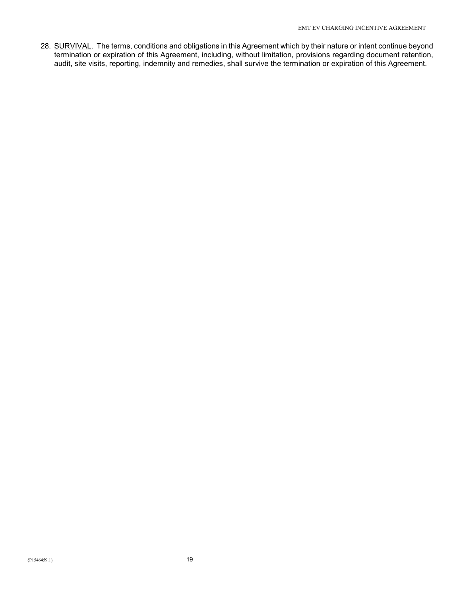28. SURVIVAL. The terms, conditions and obligations in this Agreement which by their nature or intent continue beyond termination or expiration of this Agreement, including, without limitation, provisions regarding document retention, audit, site visits, reporting, indemnity and remedies, shall survive the termination or expiration of this Agreement.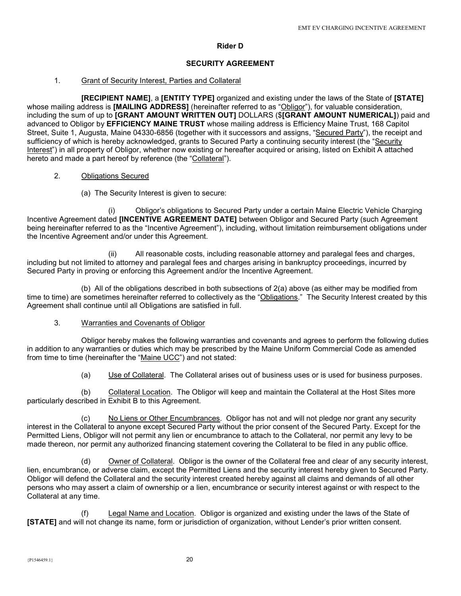# Rider D

# SECURITY AGREEMENT

# 1. Grant of Security Interest, Parties and Collateral

 [RECIPIENT NAME], a [ENTITY TYPE] organized and existing under the laws of the State of [STATE] whose mailing address is [MAILING ADDRESS] (hereinafter referred to as "Obligor"), for valuable consideration, including the sum of up to [GRANT AMOUNT WRITTEN OUT] DOLLARS (\$[GRANT AMOUNT NUMERICAL]) paid and advanced to Obligor by EFFICIENCY MAINE TRUST whose mailing address is Efficiency Maine Trust, 168 Capitol Street, Suite 1, Augusta, Maine 04330-6856 (together with it successors and assigns, "Secured Party"), the receipt and sufficiency of which is hereby acknowledged, grants to Secured Party a continuing security interest (the "Security Interest") in all property of Obligor, whether now existing or hereafter acquired or arising, listed on Exhibit A attached hereto and made a part hereof by reference (the "Collateral").

# 2. Obligations Secured

(a) The Security Interest is given to secure:

 (i) Obligor's obligations to Secured Party under a certain Maine Electric Vehicle Charging Incentive Agreement dated [INCENTIVE AGREEMENT DATE] between Obligor and Secured Party (such Agreement being hereinafter referred to as the "Incentive Agreement"), including, without limitation reimbursement obligations under the Incentive Agreement and/or under this Agreement.

 (ii) All reasonable costs, including reasonable attorney and paralegal fees and charges, including but not limited to attorney and paralegal fees and charges arising in bankruptcy proceedings, incurred by Secured Party in proving or enforcing this Agreement and/or the Incentive Agreement.

 (b) All of the obligations described in both subsections of 2(a) above (as either may be modified from time to time) are sometimes hereinafter referred to collectively as the "Obligations." The Security Interest created by this Agreement shall continue until all Obligations are satisfied in full.

3. Warranties and Covenants of Obligor

 Obligor hereby makes the following warranties and covenants and agrees to perform the following duties in addition to any warranties or duties which may be prescribed by the Maine Uniform Commercial Code as amended from time to time (hereinafter the "Maine UCC") and not stated:

(a) Use of Collateral. The Collateral arises out of business uses or is used for business purposes.

 (b) Collateral Location. The Obligor will keep and maintain the Collateral at the Host Sites more particularly described in Exhibit B to this Agreement.

(c) No Liens or Other Encumbrances. Obligor has not and will not pledge nor grant any security interest in the Collateral to anyone except Secured Party without the prior consent of the Secured Party. Except for the Permitted Liens, Obligor will not permit any lien or encumbrance to attach to the Collateral, nor permit any levy to be made thereon, nor permit any authorized financing statement covering the Collateral to be filed in any public office.

 (d) Owner of Collateral. Obligor is the owner of the Collateral free and clear of any security interest, lien, encumbrance, or adverse claim, except the Permitted Liens and the security interest hereby given to Secured Party. Obligor will defend the Collateral and the security interest created hereby against all claims and demands of all other persons who may assert a claim of ownership or a lien, encumbrance or security interest against or with respect to the Collateral at any time.

 (f) Legal Name and Location. Obligor is organized and existing under the laws of the State of [STATE] and will not change its name, form or jurisdiction of organization, without Lender's prior written consent.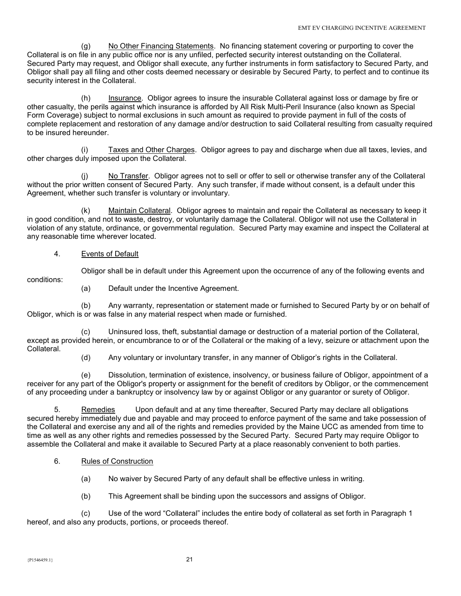(g) No Other Financing Statements. No financing statement covering or purporting to cover the Collateral is on file in any public office nor is any unfiled, perfected security interest outstanding on the Collateral. Secured Party may request, and Obligor shall execute, any further instruments in form satisfactory to Secured Party, and Obligor shall pay all filing and other costs deemed necessary or desirable by Secured Party, to perfect and to continue its security interest in the Collateral.

 (h) Insurance. Obligor agrees to insure the insurable Collateral against loss or damage by fire or other casualty, the perils against which insurance is afforded by All Risk Multi-Peril Insurance (also known as Special Form Coverage) subject to normal exclusions in such amount as required to provide payment in full of the costs of complete replacement and restoration of any damage and/or destruction to said Collateral resulting from casualty required to be insured hereunder.

 (i) Taxes and Other Charges. Obligor agrees to pay and discharge when due all taxes, levies, and other charges duly imposed upon the Collateral.

 (j) No Transfer. Obligor agrees not to sell or offer to sell or otherwise transfer any of the Collateral without the prior written consent of Secured Party. Any such transfer, if made without consent, is a default under this Agreement, whether such transfer is voluntary or involuntary.

 (k) Maintain Collateral. Obligor agrees to maintain and repair the Collateral as necessary to keep it in good condition, and not to waste, destroy, or voluntarily damage the Collateral. Obligor will not use the Collateral in violation of any statute, ordinance, or governmental regulation. Secured Party may examine and inspect the Collateral at any reasonable time wherever located.

4. Events of Default

Obligor shall be in default under this Agreement upon the occurrence of any of the following events and

conditions:

(a) Default under the Incentive Agreement.

 (b) Any warranty, representation or statement made or furnished to Secured Party by or on behalf of Obligor, which is or was false in any material respect when made or furnished.

 (c) Uninsured loss, theft, substantial damage or destruction of a material portion of the Collateral, except as provided herein, or encumbrance to or of the Collateral or the making of a levy, seizure or attachment upon the Collateral.

(d) Any voluntary or involuntary transfer, in any manner of Obligor's rights in the Collateral.

 (e) Dissolution, termination of existence, insolvency, or business failure of Obligor, appointment of a receiver for any part of the Obligor's property or assignment for the benefit of creditors by Obligor, or the commencement of any proceeding under a bankruptcy or insolvency law by or against Obligor or any guarantor or surety of Obligor.

 5. Remedies Upon default and at any time thereafter, Secured Party may declare all obligations secured hereby immediately due and payable and may proceed to enforce payment of the same and take possession of the Collateral and exercise any and all of the rights and remedies provided by the Maine UCC as amended from time to time as well as any other rights and remedies possessed by the Secured Party. Secured Party may require Obligor to assemble the Collateral and make it available to Secured Party at a place reasonably convenient to both parties.

- 6. Rules of Construction
	- (a) No waiver by Secured Party of any default shall be effective unless in writing.
	- (b) This Agreement shall be binding upon the successors and assigns of Obligor.

 (c) Use of the word "Collateral" includes the entire body of collateral as set forth in Paragraph 1 hereof, and also any products, portions, or proceeds thereof.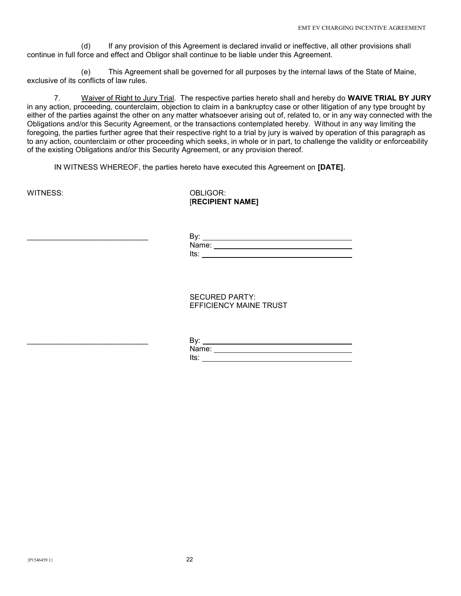(d) If any provision of this Agreement is declared invalid or ineffective, all other provisions shall continue in full force and effect and Obligor shall continue to be liable under this Agreement.

 (e) This Agreement shall be governed for all purposes by the internal laws of the State of Maine, exclusive of its conflicts of law rules.

7. Waiver of Right to Jury Trial. The respective parties hereto shall and hereby do WAIVE TRIAL BY JURY in any action, proceeding, counterclaim, objection to claim in a bankruptcy case or other litigation of any type brought by either of the parties against the other on any matter whatsoever arising out of, related to, or in any way connected with the Obligations and/or this Security Agreement, or the transactions contemplated hereby. Without in any way limiting the foregoing, the parties further agree that their respective right to a trial by jury is waived by operation of this paragraph as to any action, counterclaim or other proceeding which seeks, in whole or in part, to challenge the validity or enforceability of the existing Obligations and/or this Security Agreement, or any provision thereof.

IN WITNESS WHEREOF, the parties hereto have executed this Agreement on [DATE].

# WITNESS: OBLIGOR: [RECIPIENT NAME]

 $\mathsf{B}$ y: Name: when the contract of the contract of the contract of the contract of the contract of the contract of the contract of the contract of the contract of the contract of the contract of the contract of the contract of the is a state of the contract of the contract of the contract of the contract of the contract of the contract of

> SECURED PARTY: EFFICIENCY MAINE TRUST

 $\mathsf{B}$ y: Name: Its: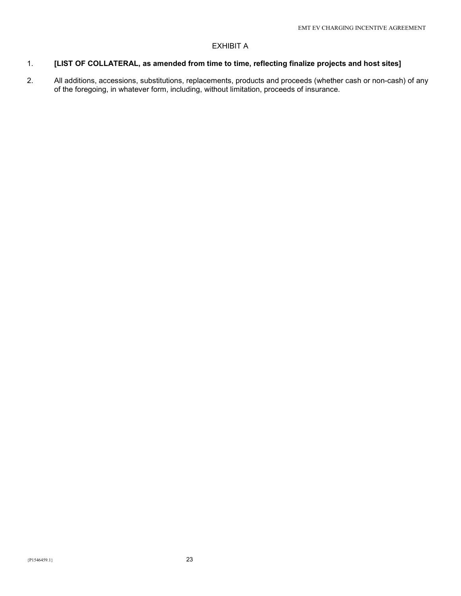# EXHIBIT A

# 1. [LIST OF COLLATERAL, as amended from time to time, reflecting finalize projects and host sites]

2. All additions, accessions, substitutions, replacements, products and proceeds (whether cash or non-cash) of any of the foregoing, in whatever form, including, without limitation, proceeds of insurance.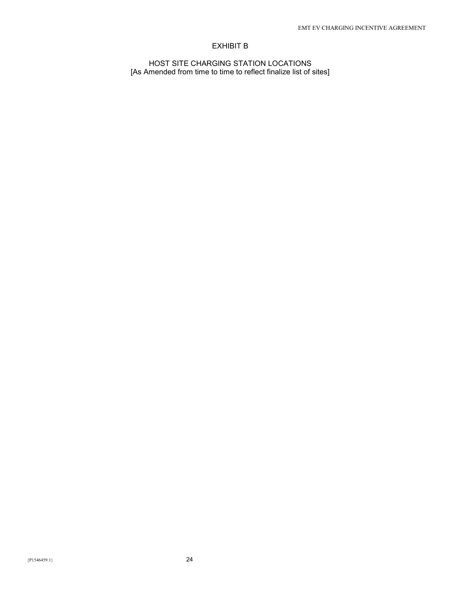# EXHIBIT B

HOST SITE CHARGING STATION LOCATIONS [As Amended from time to time to reflect finalize list of sites]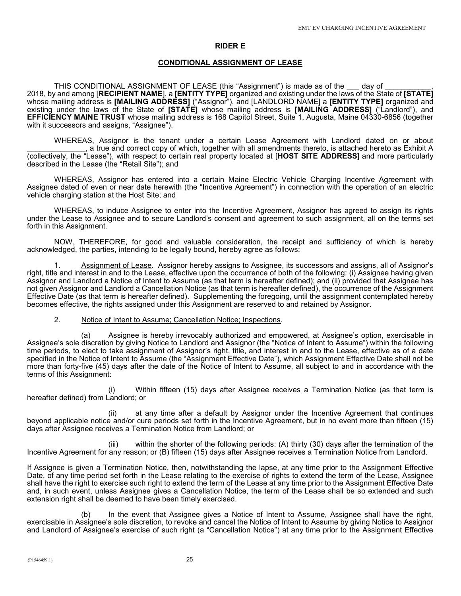### RIDER E

#### CONDITIONAL ASSIGNMENT OF LEASE

THIS CONDITIONAL ASSIGNMENT OF LEASE (this "Assignment") is made as of the say of 2018, by and among [RECIPIENT NAME], a [ENTITY TYPE] organized and existing under the laws of the State of [STATE] whose mailing address is [MAILING ADDRESS] ("Assignor"), and [LANDLORD NAME] a [ENTITY TYPE] organized and existing under the laws of the State of [STATE] whose mailing address is [MAILING ADDRESS] ("Landlord"), and EFFICIENCY MAINE TRUST whose mailing address is 168 Capitol Street, Suite 1, Augusta, Maine 04330-6856 (together with it successors and assigns, "Assignee").

 WHEREAS, Assignor is the tenant under a certain Lease Agreement with Landlord dated on or about a true and correct copy of which, together with all amendments thereto, is attached hereto as Exhibit A (collectively, the "Lease"), with respect to certain real property located at [HOST SITE ADDRESS] and more particularly described in the Lease (the "Retail Site"); and

 WHEREAS, Assignor has entered into a certain Maine Electric Vehicle Charging Incentive Agreement with Assignee dated of even or near date herewith (the "Incentive Agreement") in connection with the operation of an electric vehicle charging station at the Host Site; and

 WHEREAS, to induce Assignee to enter into the Incentive Agreement, Assignor has agreed to assign its rights under the Lease to Assignee and to secure Landlord's consent and agreement to such assignment, all on the terms set forth in this Assignment.

 NOW, THEREFORE, for good and valuable consideration, the receipt and sufficiency of which is hereby acknowledged, the parties, intending to be legally bound, hereby agree as follows:

Assignment of Lease. Assignor hereby assigns to Assignee, its successors and assigns, all of Assignor's right, title and interest in and to the Lease, effective upon the occurrence of both of the following: (i) Assignee having given Assignor and Landlord a Notice of Intent to Assume (as that term is hereafter defined); and (ii) provided that Assignee has not given Assignor and Landlord a Cancellation Notice (as that term is hereafter defined), the occurrence of the Assignment Effective Date (as that term is hereafter defined). Supplementing the foregoing, until the assignment contemplated hereby becomes effective, the rights assigned under this Assignment are reserved to and retained by Assignor.

#### 2. Notice of Intent to Assume; Cancellation Notice; Inspections.

 (a) Assignee is hereby irrevocably authorized and empowered, at Assignee's option, exercisable in Assignee's sole discretion by giving Notice to Landlord and Assignor (the "Notice of Intent to Assume") within the following time periods, to elect to take assignment of Assignor's right, title, and interest in and to the Lease, effective as of a date specified in the Notice of Intent to Assume (the "Assignment Effective Date"), which Assignment Effective Date shall not be more than forty-five (45) days after the date of the Notice of Intent to Assume, all subject to and in accordance with the terms of this Assignment:

 (i) Within fifteen (15) days after Assignee receives a Termination Notice (as that term is hereafter defined) from Landlord; or

 (ii) at any time after a default by Assignor under the Incentive Agreement that continues beyond applicable notice and/or cure periods set forth in the Incentive Agreement, but in no event more than fifteen (15) days after Assignee receives a Termination Notice from Landlord; or

 (iii) within the shorter of the following periods: (A) thirty (30) days after the termination of the Incentive Agreement for any reason; or (B) fifteen (15) days after Assignee receives a Termination Notice from Landlord.

If Assignee is given a Termination Notice, then, notwithstanding the lapse, at any time prior to the Assignment Effective Date, of any time period set forth in the Lease relating to the exercise of rights to extend the term of the Lease, Assignee shall have the right to exercise such right to extend the term of the Lease at any time prior to the Assignment Effective Date and, in such event, unless Assignee gives a Cancellation Notice, the term of the Lease shall be so extended and such extension right shall be deemed to have been timely exercised.

 (b) In the event that Assignee gives a Notice of Intent to Assume, Assignee shall have the right, exercisable in Assignee's sole discretion, to revoke and cancel the Notice of Intent to Assume by giving Notice to Assignor and Landlord of Assignee's exercise of such right (a "Cancellation Notice") at any time prior to the Assignment Effective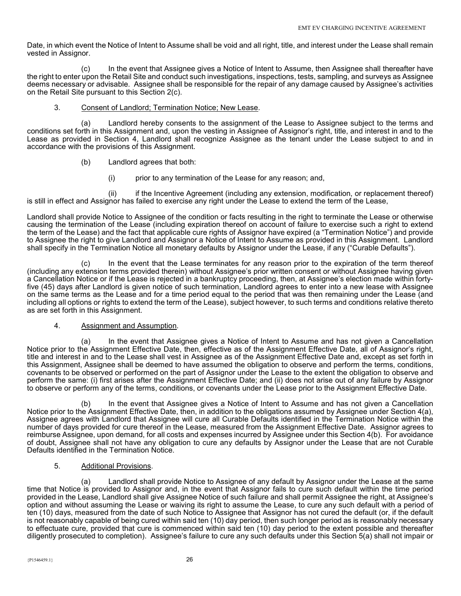Date, in which event the Notice of Intent to Assume shall be void and all right, title, and interest under the Lease shall remain vested in Assignor.

 (c) In the event that Assignee gives a Notice of Intent to Assume, then Assignee shall thereafter have the right to enter upon the Retail Site and conduct such investigations, inspections, tests, sampling, and surveys as Assignee deems necessary or advisable. Assignee shall be responsible for the repair of any damage caused by Assignee's activities on the Retail Site pursuant to this Section 2(c).

# 3. Consent of Landlord; Termination Notice; New Lease.

 (a) Landlord hereby consents to the assignment of the Lease to Assignee subject to the terms and conditions set forth in this Assignment and, upon the vesting in Assignee of Assignor's right, title, and interest in and to the Lease as provided in Section 4, Landlord shall recognize Assignee as the tenant under the Lease subject to and in accordance with the provisions of this Assignment.

- (b) Landlord agrees that both:
	- (i) prior to any termination of the Lease for any reason; and,

 (ii) if the Incentive Agreement (including any extension, modification, or replacement thereof) is still in effect and Assignor has failed to exercise any right under the Lease to extend the term of the Lease,

Landlord shall provide Notice to Assignee of the condition or facts resulting in the right to terminate the Lease or otherwise causing the termination of the Lease (including expiration thereof on account of failure to exercise such a right to extend the term of the Lease) and the fact that applicable cure rights of Assignor have expired (a "Termination Notice") and provide to Assignee the right to give Landlord and Assignor a Notice of Intent to Assume as provided in this Assignment. Landlord shall specify in the Termination Notice all monetary defaults by Assignor under the Lease, if any ("Curable Defaults").

 (c) In the event that the Lease terminates for any reason prior to the expiration of the term thereof (including any extension terms provided therein) without Assignee's prior written consent or without Assignee having given a Cancellation Notice or if the Lease is rejected in a bankruptcy proceeding, then, at Assignee's election made within fortyfive (45) days after Landlord is given notice of such termination, Landlord agrees to enter into a new lease with Assignee on the same terms as the Lease and for a time period equal to the period that was then remaining under the Lease (and including all options or rights to extend the term of the Lease), subject however, to such terms and conditions relative thereto as are set forth in this Assignment.

### 4. Assignment and Assumption.

 (a) In the event that Assignee gives a Notice of Intent to Assume and has not given a Cancellation Notice prior to the Assignment Effective Date, then, effective as of the Assignment Effective Date, all of Assignor's right, title and interest in and to the Lease shall vest in Assignee as of the Assignment Effective Date and, except as set forth in this Assignment, Assignee shall be deemed to have assumed the obligation to observe and perform the terms, conditions, covenants to be observed or performed on the part of Assignor under the Lease to the extent the obligation to observe and perform the same: (i) first arises after the Assignment Effective Date; and (ii) does not arise out of any failure by Assignor to observe or perform any of the terms, conditions, or covenants under the Lease prior to the Assignment Effective Date.

 (b) In the event that Assignee gives a Notice of Intent to Assume and has not given a Cancellation Notice prior to the Assignment Effective Date, then, in addition to the obligations assumed by Assignee under Section 4(a), Assignee agrees with Landlord that Assignee will cure all Curable Defaults identified in the Termination Notice within the number of days provided for cure thereof in the Lease, measured from the Assignment Effective Date. Assignor agrees to reimburse Assignee, upon demand, for all costs and expenses incurred by Assignee under this Section 4(b). For avoidance of doubt, Assignee shall not have any obligation to cure any defaults by Assignor under the Lease that are not Curable Defaults identified in the Termination Notice.

### 5. Additional Provisions.

 (a) Landlord shall provide Notice to Assignee of any default by Assignor under the Lease at the same time that Notice is provided to Assignor and, in the event that Assignor fails to cure such default within the time period provided in the Lease, Landlord shall give Assignee Notice of such failure and shall permit Assignee the right, at Assignee's option and without assuming the Lease or waiving its right to assume the Lease, to cure any such default with a period of ten (10) days, measured from the date of such Notice to Assignee that Assignor has not cured the default (or, if the default is not reasonably capable of being cured within said ten (10) day period, then such longer period as is reasonably necessary to effectuate cure, provided that cure is commenced within said ten (10) day period to the extent possible and thereafter diligently prosecuted to completion). Assignee's failure to cure any such defaults under this Section 5(a) shall not impair or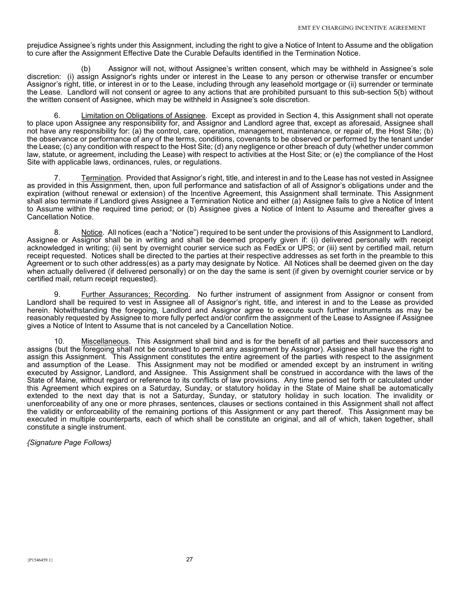prejudice Assignee's rights under this Assignment, including the right to give a Notice of Intent to Assume and the obligation to cure after the Assignment Effective Date the Curable Defaults identified in the Termination Notice.

 (b) Assignor will not, without Assignee's written consent, which may be withheld in Assignee's sole discretion: (i) assign Assignor's rights under or interest in the Lease to any person or otherwise transfer or encumber Assignor's right, title, or interest in or to the Lease, including through any leasehold mortgage or (ii) surrender or terminate the Lease. Landlord will not consent or agree to any actions that are prohibited pursuant to this sub-section 5(b) without the written consent of Assignee, which may be withheld in Assignee's sole discretion.

6. Limitation on Obligations of Assignee. Except as provided in Section 4, this Assignment shall not operate to place upon Assignee any responsibility for, and Assignor and Landlord agree that, except as aforesaid, Assignee shall not have any responsibility for: (a) the control, care, operation, management, maintenance, or repair of, the Host Site; (b) the observance or performance of any of the terms, conditions, covenants to be observed or performed by the tenant under the Lease; (c) any condition with respect to the Host Site; (d) any negligence or other breach of duty (whether under common law, statute, or agreement, including the Lease) with respect to activities at the Host Site; or (e) the compliance of the Host Site with applicable laws, ordinances, rules, or regulations.

Termination. Provided that Assignor's right, title, and interest in and to the Lease has not vested in Assignee as provided in this Assignment, then, upon full performance and satisfaction of all of Assignor's obligations under and the expiration (without renewal or extension) of the Incentive Agreement, this Assignment shall terminate. This Assignment shall also terminate if Landlord gives Assignee a Termination Notice and either (a) Assignee fails to give a Notice of Intent to Assume within the required time period; or (b) Assignee gives a Notice of Intent to Assume and thereafter gives a Cancellation Notice.

 8. Notice. All notices (each a "Notice") required to be sent under the provisions of this Assignment to Landlord, Assignee or Assignor shall be in writing and shall be deemed properly given if: (i) delivered personally with receipt acknowledged in writing; (ii) sent by overnight courier service such as FedEx or UPS; or (iii) sent by certified mail, return receipt requested. Notices shall be directed to the parties at their respective addresses as set forth in the preamble to this Agreement or to such other address(es) as a party may designate by Notice. All Notices shall be deemed given on the day when actually delivered (if delivered personally) or on the day the same is sent (if given by overnight courier service or by certified mail, return receipt requested).

9. Further Assurances; Recording. No further instrument of assignment from Assignor or consent from Landlord shall be required to vest in Assignee all of Assignor's right, title, and interest in and to the Lease as provided herein. Notwithstanding the foregoing, Landlord and Assignor agree to execute such further instruments as may be reasonably requested by Assignee to more fully perfect and/or confirm the assignment of the Lease to Assignee if Assignee gives a Notice of Intent to Assume that is not canceled by a Cancellation Notice.

 10. Miscellaneous. This Assignment shall bind and is for the benefit of all parties and their successors and assigns (but the foregoing shall not be construed to permit any assignment by Assignor). Assignee shall have the right to assign this Assignment. This Assignment constitutes the entire agreement of the parties with respect to the assignment and assumption of the Lease. This Assignment may not be modified or amended except by an instrument in writing executed by Assignor, Landlord, and Assignee. This Assignment shall be construed in accordance with the laws of the State of Maine, without regard or reference to its conflicts of law provisions. Any time period set forth or calculated under this Agreement which expires on a Saturday, Sunday, or statutory holiday in the State of Maine shall be automatically extended to the next day that is not a Saturday, Sunday, or statutory holiday in such location. The invalidity or unenforceability of any one or more phrases, sentences, clauses or sections contained in this Assignment shall not affect the validity or enforceability of the remaining portions of this Assignment or any part thereof. This Assignment may be executed in multiple counterparts, each of which shall be constitute an original, and all of which, taken together, shall constitute a single instrument.

### {Signature Page Follows}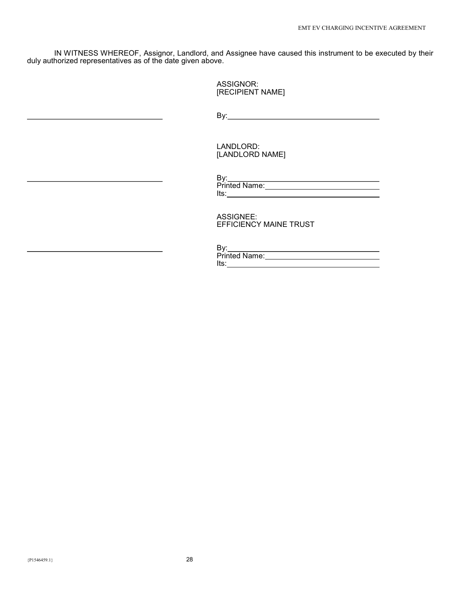IN WITNESS WHEREOF, Assignor, Landlord, and Assignee have caused this instrument to be executed by their duly authorized representatives as of the date given above.

> ASSIGNOR: [RECIPIENT NAME]

<u>By: By: The Communication of the Communication of the Communication of the Communication of the Communication</u>

 LANDLORD: [LANDLORD NAME]

 ASSIGNEE: EFFICIENCY MAINE TRUST